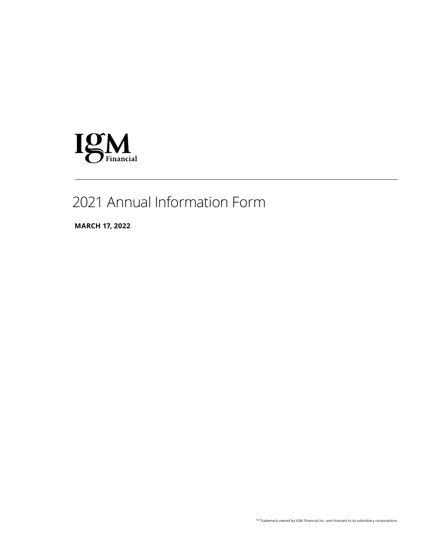

# 2021 Annual Information Form

**MARCH 17, 2022**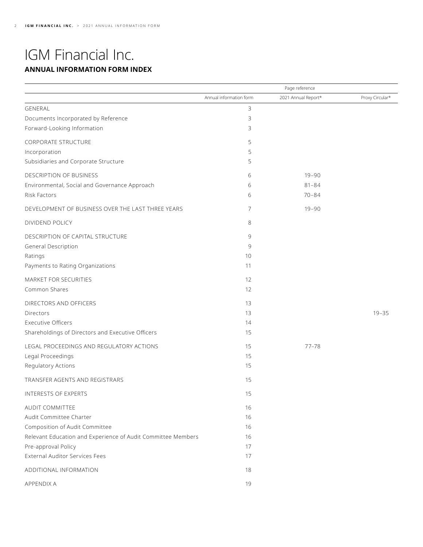## IGM Financial Inc. **ANNUAL INFORMATION FORM INDEX**

|                                                              | Page reference          |                     |                 |
|--------------------------------------------------------------|-------------------------|---------------------|-----------------|
|                                                              | Annual information form | 2021 Annual Report* | Proxy Circular* |
| GENERAL                                                      | 3                       |                     |                 |
| Documents Incorporated by Reference                          | 3                       |                     |                 |
| Forward-Looking Information                                  | 3                       |                     |                 |
| <b>CORPORATE STRUCTURE</b>                                   | 5                       |                     |                 |
| Incorporation                                                | 5                       |                     |                 |
| Subsidiaries and Corporate Structure                         | 5                       |                     |                 |
| DESCRIPTION OF BUSINESS                                      | 6                       | $19 - 90$           |                 |
| Environmental, Social and Governance Approach                | 6                       | $81 - 84$           |                 |
| Risk Factors                                                 | 6                       | $70 - 84$           |                 |
| DEVELOPMENT OF BUSINESS OVER THE LAST THREE YEARS            | 7                       | $19 - 90$           |                 |
| DIVIDEND POLICY                                              | 8                       |                     |                 |
| DESCRIPTION OF CAPITAL STRUCTURE                             | 9                       |                     |                 |
| General Description                                          | 9                       |                     |                 |
| Ratings                                                      | 10                      |                     |                 |
| Payments to Rating Organizations                             | 11                      |                     |                 |
| MARKET FOR SECURITIES                                        | 12                      |                     |                 |
| Common Shares                                                | 12                      |                     |                 |
| DIRECTORS AND OFFICERS                                       | 13                      |                     |                 |
| <b>Directors</b>                                             | 13                      |                     | $19 - 35$       |
| <b>Executive Officers</b>                                    | 14                      |                     |                 |
| Shareholdings of Directors and Executive Officers            | 15                      |                     |                 |
| LEGAL PROCEEDINGS AND REGULATORY ACTIONS                     | 15                      | $77 - 78$           |                 |
| Legal Proceedings                                            | 15                      |                     |                 |
| Regulatory Actions                                           | 15                      |                     |                 |
| TRANSFER AGENTS AND REGISTRARS                               | 15                      |                     |                 |
| INTERESTS OF EXPERTS                                         | 15                      |                     |                 |
| AUDIT COMMITTEE                                              | 16                      |                     |                 |
| Audit Committee Charter                                      | 16                      |                     |                 |
| Composition of Audit Committee                               | 16                      |                     |                 |
| Relevant Education and Experience of Audit Committee Members | 16                      |                     |                 |
| Pre-approval Policy                                          | 17                      |                     |                 |
| <b>External Auditor Services Fees</b>                        | 17                      |                     |                 |
| ADDITIONAL INFORMATION                                       | 18                      |                     |                 |
| APPENDIX A                                                   | 19                      |                     |                 |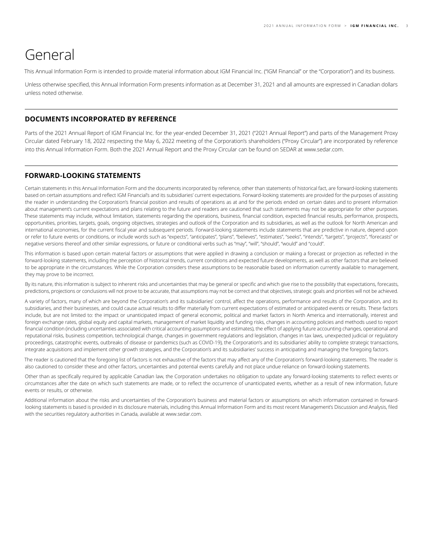## <span id="page-2-0"></span>General

This Annual Information Form is intended to provide material information about IGM Financial Inc. ("IGM Financial" or the "Corporation") and its business.

Unless otherwise specified, this Annual Information Form presents information as at December 31, 2021 and all amounts are expressed in Canadian dollars unless noted otherwise.

### **DOCUMENTS INCORPORATED BY REFERENCE**

Parts of the 2021 Annual Report of IGM Financial Inc. for the year-ended December 31, 2021 ("2021 Annual Report") and parts of the Management Proxy Circular dated February 18, 2022 respecting the May 6, 2022 meeting of the Corporation's shareholders ("Proxy Circular") are incorporated by reference into this Annual Information Form. Both the 2021 Annual Report and the Proxy Circular can be found on SEDAR at [www.sedar.com](http://www.sedar.com).

## **FORWARD-LOOKING STATEMENTS**

Certain statements in this Annual Information Form and the documents incorporated by reference, other than statements of historical fact, are forward-looking statements based on certain assumptions and reflect IGM Financial's and its subsidiaries' current expectations. Forward-looking statements are provided for the purposes of assisting the reader in understanding the Corporation's financial position and results of operations as at and for the periods ended on certain dates and to present information about management's current expectations and plans relating to the future and readers are cautioned that such statements may not be appropriate for other purposes. These statements may include, without limitation, statements regarding the operations, business, financial condition, expected financial results, performance, prospects, opportunities, priorities, targets, goals, ongoing objectives, strategies and outlook of the Corporation and its subsidiaries, as well as the outlook for North American and international economies, for the current fiscal year and subsequent periods. Forward-looking statements include statements that are predictive in nature, depend upon or refer to future events or conditions, or include words such as "expects", "anticipates", "plans", "believes", "estimates", "seeks", "intends", "targets", "projects", "forecasts" or negative versions thereof and other similar expressions, or future or conditional verbs such as "may", "will", "should", "would" and "could".

This information is based upon certain material factors or assumptions that were applied in drawing a conclusion or making a forecast or projection as reflected in the forward-looking statements, including the perception of historical trends, current conditions and expected future developments, as well as other factors that are believed to be appropriate in the circumstances. While the Corporation considers these assumptions to be reasonable based on information currently available to management, they may prove to be incorrect.

By its nature, this information is subject to inherent risks and uncertainties that may be general or specific and which give rise to the possibility that expectations, forecasts, predictions, projections or conclusions will not prove to be accurate, that assumptions may not be correct and that objectives, strategic goals and priorities will not be achieved.

A variety of factors, many of which are beyond the Corporation's and its subsidiaries' control, affect the operations, performance and results of the Corporation, and its subsidiaries, and their businesses, and could cause actual results to differ materially from current expectations of estimated or anticipated events or results. These factors include, but are not limited to: the impact or unanticipated impact of general economic, political and market factors in North America and internationally, interest and foreign exchange rates, global equity and capital markets, management of market liquidity and funding risks, changes in accounting policies and methods used to report financial condition (including uncertainties associated with critical accounting assumptions and estimates), the effect of applying future accounting changes, operational and reputational risks, business competition, technological change, changes in government regulations and legislation, changes in tax laws, unexpected judicial or regulatory proceedings, catastrophic events, outbreaks of disease or pandemics (such as COVID-19), the Corporation's and its subsidiaries' ability to complete strategic transactions, integrate acquisitions and implement other growth strategies, and the Corporation's and its subsidiaries' success in anticipating and managing the foregoing factors.

The reader is cautioned that the foregoing list of factors is not exhaustive of the factors that may affect any of the Corporation's forward-looking statements. The reader is also cautioned to consider these and other factors, uncertainties and potential events carefully and not place undue reliance on forward-looking statements.

Other than as specifically required by applicable Canadian law, the Corporation undertakes no obligation to update any forward-looking statements to reflect events or circumstances after the date on which such statements are made, or to reflect the occurrence of unanticipated events, whether as a result of new information, future events or results, or otherwise.

Additional information about the risks and uncertainties of the Corporation's business and material factors or assumptions on which information contained in forwardlooking statements is based is provided in its disclosure materials, including this Annual Information Form and its most recent Management's Discussion and Analysis, filed with the securities regulatory authorities in Canada, available at [www.sedar.com](http://www.sedar.com).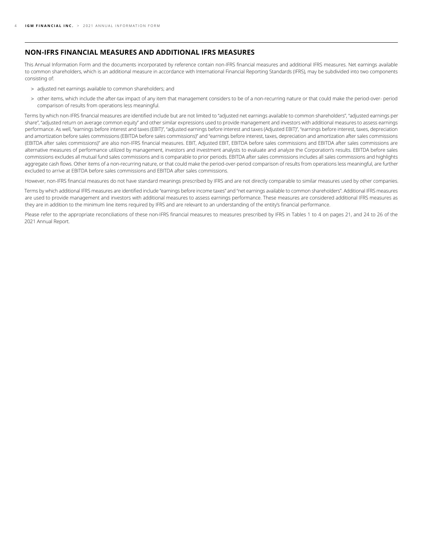### **NON-IFRS FINANCIAL MEASURES AND ADDITIONAL IFRS MEASURES**

This Annual Information Form and the documents incorporated by reference contain non-IFRS financial measures and additional IFRS measures. Net earnings available to common shareholders, which is an additional measure in accordance with International Financial Reporting Standards (IFRS), may be subdivided into two components consisting of:

- > adjusted net earnings available to common shareholders; and
- > other items, which include the after-tax impact of any item that management considers to be of a non-recurring nature or that could make the period-over- period comparison of results from operations less meaningful.

Terms by which non-IFRS financial measures are identified include but are not limited to "adjusted net earnings available to common shareholders", "adjusted earnings per share", "adjusted return on average common equity" and other similar expressions used to provide management and investors with additional measures to assess earnings performance. As well, "earnings before interest and taxes (EBIT)", "adjusted earnings before interest and taxes (Adjusted EBIT)", "earnings before interest, taxes, depreciation and amortization before sales commissions (EBITDA before sales commissions)" and "earnings before interest, taxes, depreciation and amortization after sales commissions (EBITDA after sales commissions)" are also non-IFRS financial measures. EBIT, Adjusted EBIT, EBITDA before sales commissions and EBITDA after sales commissions are alternative measures of performance utilized by management, investors and investment analysts to evaluate and analyze the Corporation's results. EBITDA before sales commissions excludes all mutual fund sales commissions and is comparable to prior periods. EBITDA after sales commissions includes all sales commissions and highlights aggregate cash flows. Other items of a non-recurring nature, or that could make the period-over-period comparison of results from operations less meaningful, are further excluded to arrive at EBITDA before sales commissions and EBITDA after sales commissions.

However, non-IFRS financial measures do not have standard meanings prescribed by IFRS and are not directly comparable to similar measures used by other companies.

Terms by which additional IFRS measures are identified include "earnings before income taxes" and "net earnings available to common shareholders". Additional IFRS measures are used to provide management and investors with additional measures to assess earnings performance. These measures are considered additional IFRS measures as they are in addition to the minimum line items required by IFRS and are relevant to an understanding of the entity's financial performance.

Please refer to the appropriate reconciliations of these non-IFRS financial measures to measures prescribed by IFRS in Tables 1 to 4 on pages 21, and 24 to 26 of the 2021 Annual Report.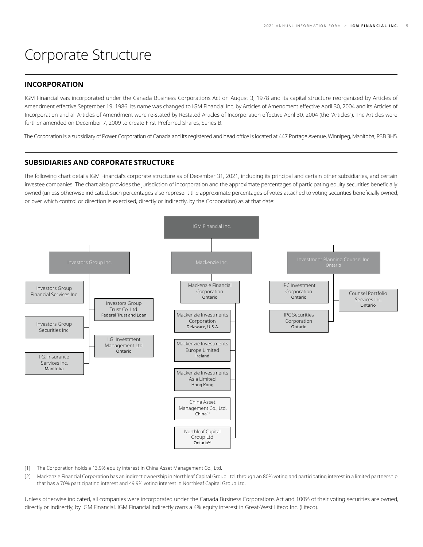## <span id="page-4-0"></span>Corporate Structure

### **INCORPORATION**

IGM Financial was incorporated under the Canada Business Corporations Act on August 3, 1978 and its capital structure reorganized by Articles of Amendment effective September 19, 1986. Its name was changed to IGM Financial Inc. by Articles of Amendment effective April 30, 2004 and its Articles of Incorporation and all Articles of Amendment were re-stated by Restated Articles of Incorporation effective April 30, 2004 (the "Articles"). The Articles were further amended on December 7, 2009 to create First Preferred Shares, Series B.

The Corporation is a subsidiary of Power Corporation of Canada and its registered and head office is located at 447 Portage Avenue, Winnipeg, Manitoba, R3B 3H5.

## **SUBSIDIARIES AND CORPORATE STRUCTURE**

The following chart details IGM Financial's corporate structure as of December 31, 2021, including its principal and certain other subsidiaries, and certain investee companies. The chart also provides the jurisdiction of incorporation and the approximate percentages of participating equity securities beneficially owned (unless otherwise indicated, such percentages also represent the approximate percentages of votes attached to voting securities beneficially owned, or over which control or direction is exercised, directly or indirectly, by the Corporation) as at that date:



- [1] The Corporation holds a 13.9% equity interest in China Asset Management Co., Ltd.
- [2] Mackenzie Financial Corporation has an indirect ownership in Northleaf Capital Group Ltd. through an 80% voting and participating interest in a limited partnership that has a 70% participating interest and 49.9% voting interest in Northleaf Capital Group Ltd.

Unless otherwise indicated, all companies were incorporated under the Canada Business Corporations Act and 100% of their voting securities are owned, directly or indirectly, by IGM Financial. IGM Financial indirectly owns a 4% equity interest in Great-West Lifeco Inc. (Lifeco).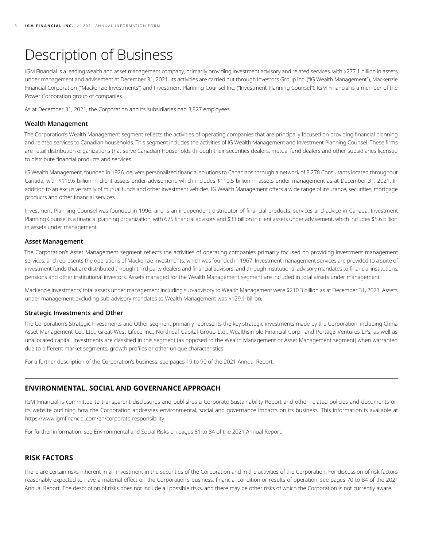# <span id="page-5-0"></span>Description of Business

IGM Financial is a leading wealth and asset management company, primarily providing investment advisory and related services, with \$277.1 billion in assets under management and advisement at December 31, 2021. Its activities are carried out through Investors Group Inc. ("IG Wealth Management"), Mackenzie Financial Corporation ("Mackenzie Investments") and Investment Planning Counsel Inc. ("Investment Planning Counsel"). IGM Financial is a member of the Power Corporation group of companies.

As at December 31, 2021, the Corporation and its subsidiaries had 3,827 employees.

### **Wealth Management**

The Corporation's Wealth Management segment reflects the activities of operating companies that are principally focused on providing financial planning and related services to Canadian households. This segment includes the activities of IG Wealth Management and Investment Planning Counsel. These firms are retail distribution organizations that serve Canadian Households through their securities dealers, mutual fund dealers and other subsidiaries licensed to distribute financial products and services.

IG Wealth Management, founded in 1926, delivers personalized financial solutions to Canadians through a network of 3,278 Consultants located throughout Canada, with \$119.6 billion in client assets under advisement, which includes \$110.5 billion in assets under management as at December 31, 2021. In addition to an exclusive family of mutual funds and other investment vehicles, IG Wealth Management offers a wide range of insurance, securities, mortgage products and other financial services.

Investment Planning Counsel was founded in 1996, and is an independent distributor of financial products, services and advice in Canada. Investment Planning Counsel is a financial planning organization, with 675 financial advisors and \$33 billion in client assets under advisement, which includes \$5.6 billion in assets under management.

### **Asset Management**

The Corporation's Asset Management segment reflects the activities of operating companies primarily focused on providing investment management services, and represents the operations of Mackenzie Investments, which was founded in 1967. Investment management services are provided to a suite of investment funds that are distributed through third party dealers and financial advisors, and through institutional advisory mandates to financial institutions, pensions and other institutional investors. Assets managed for the Wealth Management segment are included in total assets under management.

Mackenzie Investments' total assets under management including sub-advisory to Wealth Management were \$210.3 billion as at December 31, 2021. Assets under management excluding sub-advisory mandates to Wealth Management was \$129.1 billion.

#### **Strategic Investments and Other**

The Corporation's Strategic Investments and Other segment primarily represents the key strategic investments made by the Corporation, including China Asset Management Co., Ltd., Great-West Lifeco Inc., Northleaf Capital Group Ltd., Wealthsimple Financial Corp., and Portag3 Ventures LPs, as well as unallocated capital. Investments are classified in this segment (as opposed to the Wealth Management or Asset Management segment) when warranted due to different market segments, growth profiles or other unique characteristics.

For a further description of the Corporation's business, see pages 19 to 90 of the 2021 Annual Report.

## **ENVIRONMENTAL, SOCIAL AND GOVERNANCE APPROACH**

IGM Financial is committed to transparent disclosures and publishes a Corporate Sustainability Report and other related policies and documents on its website outlining how the Corporation addresses environmental, social and governance impacts on its business. This information is available at <https://www.igmfinancial.com/en/corporate-responsibility>

For further information, see Environmental and Social Risks on pages 81 to 84 of the 2021 Annual Report.

## **RISK FACTORS**

There are certain risks inherent in an investment in the securities of the Corporation and in the activities of the Corporation. For discussion of risk factors reasonably expected to have a material effect on the Corporation's business, financial condition or results of operation, see pages 70 to 84 of the 2021 Annual Report. The description of risks does not include all possible risks, and there may be other risks of which the Corporation is not currently aware.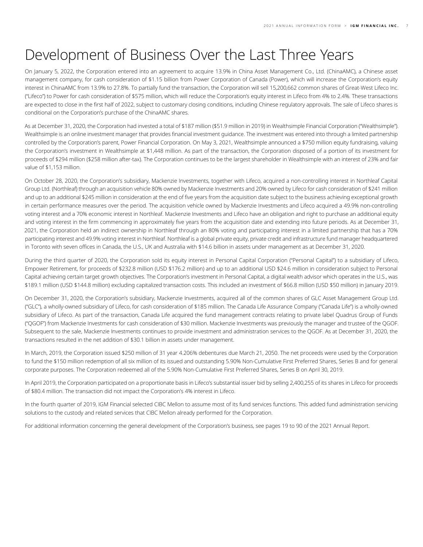## <span id="page-6-0"></span>Development of Business Over the Last Three Years

On January 5, 2022, the Corporation entered into an agreement to acquire 13.9% in China Asset Management Co., Ltd. (ChinaAMC), a Chinese asset management company, for cash consideration of \$1.15 billion from Power Corporation of Canada (Power), which will increase the Corporation's equity interest in ChinaAMC from 13.9% to 27.8%. To partially fund the transaction, the Corporation will sell 15,200,662 common shares of Great-West Lifeco Inc. ("Lifeco") to Power for cash consideration of \$575 million, which will reduce the Corporation's equity interest in Lifeco from 4% to 2.4%. These transactions are expected to close in the first half of 2022, subject to customary closing conditions, including Chinese regulatory approvals. The sale of Lifeco shares is conditional on the Corporation's purchase of the ChinaAMC shares.

As at December 31, 2020, the Corporation had invested a total of \$187 million (\$51.9 million in 2019) in Wealthsimple Financial Corporation ("Wealthsimple"). Wealthsimple is an online investment manager that provides financial investment guidance. The investment was entered into through a limited partnership controlled by the Corporation's parent, Power Financial Corporation. On May 3, 2021, Wealthsimple announced a \$750 million equity fundraising, valuing the Corporation's investment in Wealthsimple at \$1,448 million. As part of the transaction, the Corporation disposed of a portion of its investment for proceeds of \$294 million (\$258 million after-tax). The Corporation continues to be the largest shareholder in Wealthsimple with an interest of 23% and fair value of \$1,153 million.

On October 28, 2020, the Corporation's subsidiary, Mackenzie Investments, together with Lifeco, acquired a non-controlling interest in Northleaf Capital Group Ltd. (Northleaf) through an acquisition vehicle 80% owned by Mackenzie Investments and 20% owned by Lifeco for cash consideration of \$241 million and up to an additional \$245 million in consideration at the end of five years from the acquisition date subject to the business achieving exceptional growth in certain performance measures over the period. The acquisition vehicle owned by Mackenzie Investments and Lifeco acquired a 49.9% non-controlling voting interest and a 70% economic interest in Northleaf. Mackenzie Investments and Lifeco have an obligation and right to purchase an additional equity and voting interest in the firm commencing in approximately five years from the acquisition date and extending into future periods. As at December 31, 2021, the Corporation held an indirect ownership in Northleaf through an 80% voting and participating interest in a limited partnership that has a 70% participating interest and 49.9% voting interest in Northleaf. Northleaf is a global private equity, private credit and infrastructure fund manager headquartered in Toronto with seven offices in Canada, the U.S., UK and Australia with \$14.6 billion in assets under management as at December 31, 2020.

During the third quarter of 2020, the Corporation sold its equity interest in Personal Capital Corporation ("Personal Capital") to a subsidiary of Lifeco, Empower Retirement, for proceeds of \$232.8 million (USD \$176.2 million) and up to an additional USD \$24.6 million in consideration subject to Personal Capital achieving certain target growth objectives. The Corporation's investment in Personal Capital, a digital wealth advisor which operates in the U.S., was \$189.1 million (USD \$144.8 million) excluding capitalized transaction costs. This included an investment of \$66.8 million (USD \$50 million) in January 2019.

On December 31, 2020, the Corporation's subsidiary, Mackenzie Investments, acquired all of the common shares of GLC Asset Management Group Ltd. ("GLC"), a wholly-owned subsidiary of Lifeco, for cash consideration of \$185 million. The Canada Life Assurance Company ("Canada Life") is a wholly-owned subsidiary of Lifeco. As part of the transaction, Canada Life acquired the fund management contracts relating to private label Quadrus Group of Funds ("QGOF") from Mackenzie Investments for cash consideration of \$30 million. Mackenzie Investments was previously the manager and trustee of the QGOF. Subsequent to the sale, Mackenzie Investments continues to provide investment and administration services to the QGOF. As at December 31, 2020, the transactions resulted in the net addition of \$30.1 billion in assets under management.

In March, 2019, the Corporation issued \$250 million of 31 year 4.206% debentures due March 21, 2050. The net proceeds were used by the Corporation to fund the \$150 million redemption of all six million of its issued and outstanding 5.90% Non-Cumulative First Preferred Shares, Series B and for general corporate purposes. The Corporation redeemed all of the 5.90% Non-Cumulative First Preferred Shares, Series B on April 30, 2019.

In April 2019, the Corporation participated on a proportionate basis in Lifeco's substantial issuer bid by selling 2,400,255 of its shares in Lifeco for proceeds of \$80.4 million. The transaction did not impact the Corporation's 4% interest in Lifeco.

In the fourth quarter of 2019, IGM Financial selected CIBC Mellon to assume most of its fund services functions. This added fund administration servicing solutions to the custody and related services that CIBC Mellon already performed for the Corporation.

For additional information concerning the general development of the Corporation's business, see pages 19 to 90 of the 2021 Annual Report.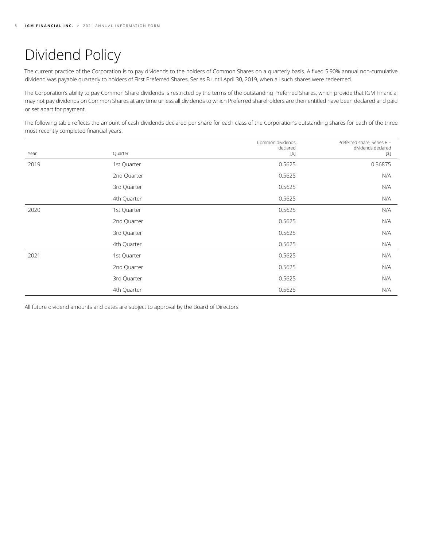# <span id="page-7-0"></span>Dividend Policy

The current practice of the Corporation is to pay dividends to the holders of Common Shares on a quarterly basis. A fixed 5.90% annual non-cumulative dividend was payable quarterly to holders of First Preferred Shares, Series B until April 30, 2019, when all such shares were redeemed.

The Corporation's ability to pay Common Share dividends is restricted by the terms of the outstanding Preferred Shares, which provide that IGM Financial may not pay dividends on Common Shares at any time unless all dividends to which Preferred shareholders are then entitled have been declared and paid or set apart for payment.

The following table reflects the amount of cash dividends declared per share for each class of the Corporation's outstanding shares for each of the three most recently completed financial years.

|      |             | Common dividends<br>declared | Preferred share, Series B -<br>dividends declared |
|------|-------------|------------------------------|---------------------------------------------------|
| Year | Quarter     | $[5]$                        | $[$]$                                             |
| 2019 | 1st Quarter | 0.5625                       | 0.36875                                           |
|      | 2nd Quarter | 0.5625                       | N/A                                               |
|      | 3rd Quarter | 0.5625                       | N/A                                               |
|      | 4th Quarter | 0.5625                       | N/A                                               |
| 2020 | 1st Quarter | 0.5625                       | N/A                                               |
|      | 2nd Quarter | 0.5625                       | N/A                                               |
|      | 3rd Quarter | 0.5625                       | N/A                                               |
|      | 4th Quarter | 0.5625                       | N/A                                               |
| 2021 | 1st Quarter | 0.5625                       | N/A                                               |
|      | 2nd Quarter | 0.5625                       | N/A                                               |
|      | 3rd Quarter | 0.5625                       | N/A                                               |
|      | 4th Quarter | 0.5625                       | N/A                                               |

All future dividend amounts and dates are subject to approval by the Board of Directors.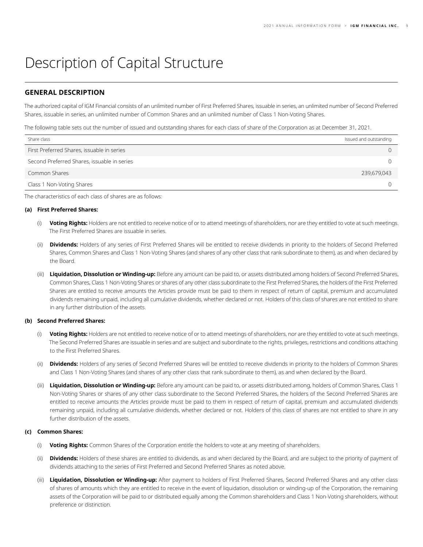## <span id="page-8-0"></span>Description of Capital Structure

## **GENERAL DESCRIPTION**

The authorized capital of IGM Financial consists of an unlimited number of First Preferred Shares, issuable in series, an unlimited number of Second Preferred Shares, issuable in series, an unlimited number of Common Shares and an unlimited number of Class 1 Non-Voting Shares.

The following table sets out the number of issued and outstanding shares for each class of share of the Corporation as at December 31, 2021.

| Share class                                 | Issued and outstanding |
|---------------------------------------------|------------------------|
| First Preferred Shares, issuable in series  |                        |
| Second Preferred Shares, issuable in series |                        |
| Common Shares                               | 239,679,043            |
| Class 1 Non-Voting Shares                   |                        |

The characteristics of each class of shares are as follows:

#### **(a) First Preferred Shares:**

- (i) **Voting Rights:** Holders are not entitled to receive notice of or to attend meetings of shareholders, nor are they entitled to vote at such meetings. The First Preferred Shares are issuable in series.
- (ii) **Dividends:** Holders of any series of First Preferred Shares will be entitled to receive dividends in priority to the holders of Second Preferred Shares, Common Shares and Class 1 Non-Voting Shares (and shares of any other class that rank subordinate to them), as and when declared by the Board.
- (iii) **Liquidation, Dissolution or Winding-up:** Before any amount can be paid to, or assets distributed among holders of Second Preferred Shares, Common Shares, Class 1 Non-Voting Shares or shares of any other class subordinate to the First Preferred Shares, the holders of the First Preferred Shares are entitled to receive amounts the Articles provide must be paid to them in respect of return of capital, premium and accumulated dividends remaining unpaid, including all cumulative dividends, whether declared or not. Holders of this class of shares are not entitled to share in any further distribution of the assets.

#### **(b) Second Preferred Shares:**

- (i) **Voting Rights:** Holders are not entitled to receive notice of or to attend meetings of shareholders, nor are they entitled to vote at such meetings. The Second Preferred Shares are issuable in series and are subject and subordinate to the rights, privileges, restrictions and conditions attaching to the First Preferred Shares.
- (ii) **Dividends:** Holders of any series of Second Preferred Shares will be entitled to receive dividends in priority to the holders of Common Shares and Class 1 Non-Voting Shares (and shares of any other class that rank subordinate to them), as and when declared by the Board.
- (iii) **Liquidation, Dissolution or Winding-up:** Before any amount can be paid to, or assets distributed among, holders of Common Shares, Class 1 Non-Voting Shares or shares of any other class subordinate to the Second Preferred Shares, the holders of the Second Preferred Shares are entitled to receive amounts the Articles provide must be paid to them in respect of return of capital, premium and accumulated dividends remaining unpaid, including all cumulative dividends, whether declared or not. Holders of this class of shares are not entitled to share in any further distribution of the assets.

#### **(c) Common Shares:**

- (i) **Voting Rights:** Common Shares of the Corporation entitle the holders to vote at any meeting of shareholders.
- (ii) **Dividends:** Holders of these shares are entitled to dividends, as and when declared by the Board, and are subject to the priority of payment of dividends attaching to the series of First Preferred and Second Preferred Shares as noted above.
- (iii) **Liquidation, Dissolution or Winding-up:** After payment to holders of First Preferred Shares, Second Preferred Shares and any other class of shares of amounts which they are entitled to receive in the event of liquidation, dissolution or winding-up of the Corporation, the remaining assets of the Corporation will be paid to or distributed equally among the Common shareholders and Class 1 Non-Voting shareholders, without preference or distinction.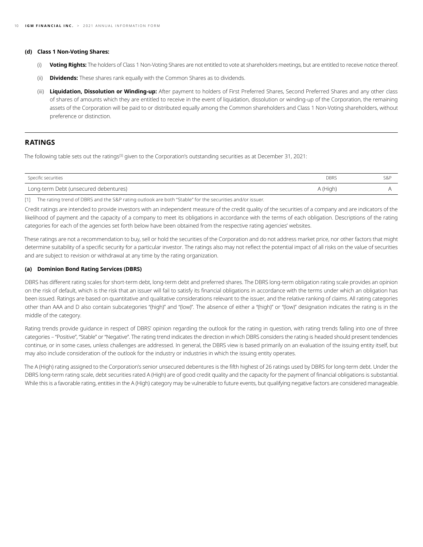#### <span id="page-9-0"></span>**(d) Class 1 Non-Voting Shares:**

- (i) **Voting Rights:** The holders of Class 1 Non-Voting Shares are not entitled to vote at shareholders meetings, but are entitled to receive notice thereof.
- (ii) **Dividends:** These shares rank equally with the Common Shares as to dividends.
- (iii) **Liquidation, Dissolution or Winding-up:** After payment to holders of First Preferred Shares, Second Preferred Shares and any other class of shares of amounts which they are entitled to receive in the event of liquidation, dissolution or winding-up of the Corporation, the remaining assets of the Corporation will be paid to or distributed equally among the Common shareholders and Class 1 Non-Voting shareholders, without preference or distinction.

## **RATINGS**

The following table sets out the ratings<sup>[1]</sup> given to the Corporation's outstanding securities as at December 31, 2021:

| Specific securities                   | <b>DBRS</b> | S&P |
|---------------------------------------|-------------|-----|
| Long-term Debt (unsecured debentures) | A (High,    |     |

[1] The rating trend of DBRS and the S&P rating outlook are both "Stable" for the securities and/or issuer.

Credit ratings are intended to provide investors with an independent measure of the credit quality of the securities of a company and are indicators of the likelihood of payment and the capacity of a company to meet its obligations in accordance with the terms of each obligation. Descriptions of the rating categories for each of the agencies set forth below have been obtained from the respective rating agencies' websites.

These ratings are not a recommendation to buy, sell or hold the securities of the Corporation and do not address market price, nor other factors that might determine suitability of a specific security for a particular investor. The ratings also may not reflect the potential impact of all risks on the value of securities and are subject to revision or withdrawal at any time by the rating organization.

#### **(a) Dominion Bond Rating Services (DBRS)**

DBRS has different rating scales for short-term debt, long-term debt and preferred shares. The DBRS long-term obligation rating scale provides an opinion on the risk of default, which is the risk that an issuer will fail to satisfy its financial obligations in accordance with the terms under which an obligation has been issued. Ratings are based on quantitative and qualitative considerations relevant to the issuer, and the relative ranking of claims. All rating categories other than AAA and D also contain subcategories "(high)" and "(low)". The absence of either a "(high)" or "(low)" designation indicates the rating is in the middle of the category.

Rating trends provide guidance in respect of DBRS' opinion regarding the outlook for the rating in question, with rating trends falling into one of three categories – "Positive", "Stable" or "Negative". The rating trend indicates the direction in which DBRS considers the rating is headed should present tendencies continue, or in some cases, unless challenges are addressed. In general, the DBRS view is based primarily on an evaluation of the issuing entity itself, but may also include consideration of the outlook for the industry or industries in which the issuing entity operates.

The A (High) rating assigned to the Corporation's senior unsecured debentures is the fifth highest of 26 ratings used by DBRS for long-term debt. Under the DBRS long-term rating scale, debt securities rated A (High) are of good credit quality and the capacity for the payment of financial obligations is substantial. While this is a favorable rating, entities in the A (High) category may be vulnerable to future events, but qualifying negative factors are considered manageable.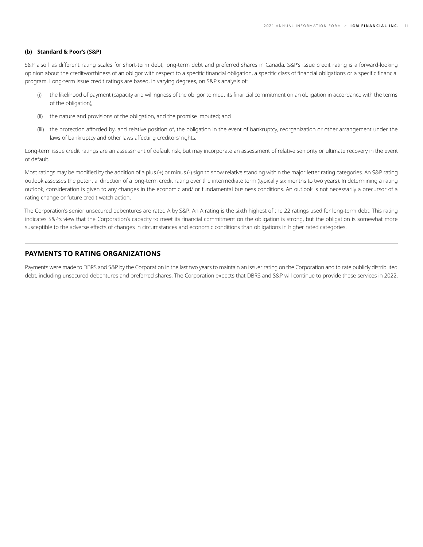#### <span id="page-10-0"></span>**(b) Standard & Poor's (S&P)**

S&P also has different rating scales for short-term debt, long-term debt and preferred shares in Canada. S&P's issue credit rating is a forward-looking opinion about the creditworthiness of an obligor with respect to a specific financial obligation, a specific class of financial obligations or a specific financial program. Long-term issue credit ratings are based, in varying degrees, on S&P's analysis of:

- (i) the likelihood of payment (capacity and willingness of the obligor to meet its financial commitment on an obligation in accordance with the terms of the obligation),
- (ii) the nature and provisions of the obligation, and the promise imputed; and
- (iii) the protection afforded by, and relative position of, the obligation in the event of bankruptcy, reorganization or other arrangement under the laws of bankruptcy and other laws affecting creditors' rights.

Long-term issue credit ratings are an assessment of default risk, but may incorporate an assessment of relative seniority or ultimate recovery in the event of default.

Most ratings may be modified by the addition of a plus (+) or minus (-) sign to show relative standing within the major letter rating categories. An S&P rating outlook assesses the potential direction of a long-term credit rating over the intermediate term (typically six months to two years). In determining a rating outlook, consideration is given to any changes in the economic and/ or fundamental business conditions. An outlook is not necessarily a precursor of a rating change or future credit watch action.

The Corporation's senior unsecured debentures are rated A by S&P. An A rating is the sixth highest of the 22 ratings used for long-term debt. This rating indicates S&P's view that the Corporation's capacity to meet its financial commitment on the obligation is strong, but the obligation is somewhat more susceptible to the adverse effects of changes in circumstances and economic conditions than obligations in higher rated categories.

## **PAYMENTS TO RATING ORGANIZATIONS**

Payments were made to DBRS and S&P by the Corporation in the last two years to maintain an issuer rating on the Corporation and to rate publicly distributed debt, including unsecured debentures and preferred shares. The Corporation expects that DBRS and S&P will continue to provide these services in 2022.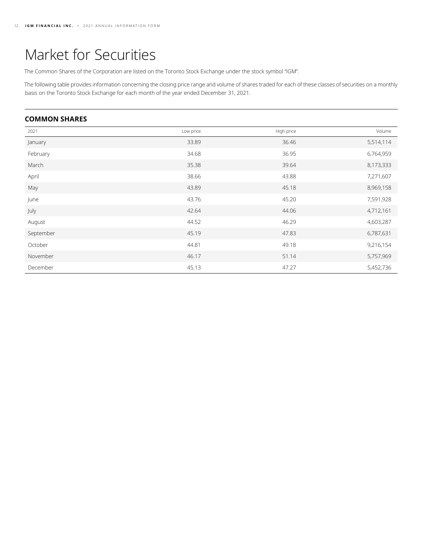## <span id="page-11-0"></span>Market for Securities

The Common Shares of the Corporation are listed on the Toronto Stock Exchange under the stock symbol "IGM".

The following table provides information concerning the closing price range and volume of shares traded for each of these classes of securities on a monthly basis on the Toronto Stock Exchange for each month of the year ended December 31, 2021.

## **COMMON SHARES**

| 2021      | Low price | High price | Volume    |
|-----------|-----------|------------|-----------|
| January   | 33.89     | 36.46      | 5,514,114 |
| February  | 34.68     | 36.95      | 6,764,959 |
| March     | 35.38     | 39.64      | 8,173,333 |
| April     | 38.66     | 43.88      | 7,271,607 |
| May       | 43.89     | 45.18      | 8,969,158 |
| June      | 43.76     | 45.20      | 7,591,928 |
| July      | 42.64     | 44.06      | 4,712,161 |
| August    | 44.52     | 46.29      | 4,603,287 |
| September | 45.19     | 47.83      | 6,787,631 |
| October   | 44.81     | 49.18      | 9,216,154 |
| November  | 46.17     | 51.14      | 5,757,969 |
| December  | 45.13     | 47.27      | 5,452,736 |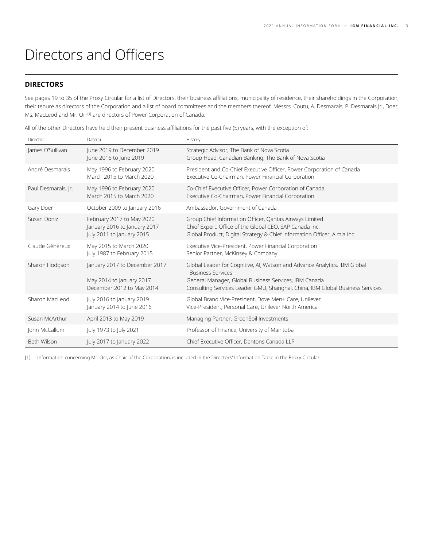## <span id="page-12-0"></span>Directors and Officers

## **DIRECTORS**

See pages 19 to 35 of the Proxy Circular for a list of Directors, their business affiliations, municipality of residence, their shareholdings in the Corporation, their tenure as directors of the Corporation and a list of board committees and the members thereof. Messrs. Coutu, A. Desmarais, P. Desmarais Jr., Doer, Ms. MacLeod and Mr. Orr<sup>[1]</sup> are directors of Power Corporation of Canada.

All of the other Directors have held their present business affiliations for the past five (5) years, with the exception of:

| Director            | Date(s)                                                                                | History                                                                                                                                                                                                                                         |
|---------------------|----------------------------------------------------------------------------------------|-------------------------------------------------------------------------------------------------------------------------------------------------------------------------------------------------------------------------------------------------|
| James O'Sullivan    | June 2019 to December 2019<br>June 2015 to June 2019                                   | Strategic Advisor, The Bank of Nova Scotia<br>Group Head, Canadian Banking, The Bank of Nova Scotia                                                                                                                                             |
| André Desmarais     | May 1996 to February 2020<br>March 2015 to March 2020                                  | President and Co-Chief Executive Officer, Power Corporation of Canada<br>Executive Co-Chairman, Power Financial Corporation                                                                                                                     |
| Paul Desmarais, Ir. | May 1996 to February 2020<br>March 2015 to March 2020                                  | Co-Chief Executive Officer, Power Corporation of Canada<br>Executive Co-Chairman, Power Financial Corporation                                                                                                                                   |
| Gary Doer           | October 2009 to January 2016                                                           | Ambassador, Government of Canada                                                                                                                                                                                                                |
| Susan Doniz         | February 2017 to May 2020<br>January 2016 to January 2017<br>July 2011 to January 2015 | Group Chief Information Officer, Qantas Airways Limited<br>Chief Expert, Office of the Global CEO, SAP Canada Inc.<br>Global Product, Digital Strategy & Chief Information Officer, Aimia Inc.                                                  |
| Claude Généreux     | May 2015 to March 2020<br>July 1987 to February 2015                                   | Executive Vice-President, Power Financial Corporation<br>Senior Partner, McKinsey & Company                                                                                                                                                     |
| Sharon Hodgson      | January 2017 to December 2017<br>May 2014 to January 2017<br>December 2012 to May 2014 | Global Leader for Cognitive, AI, Watson and Advance Analytics, IBM Global<br><b>Business Services</b><br>General Manager, Global Business Services, IBM Canada<br>Consulting Services Leader GMU, Shanghai, China, IBM Global Business Services |
| Sharon MacLeod      | July 2016 to January 2019<br>January 2014 to June 2016                                 | Global Brand Vice-President, Dove Men+ Care, Unilever<br>Vice-President, Personal Care, Unilever North America                                                                                                                                  |
| Susan McArthur      | April 2013 to May 2019                                                                 | Managing Partner, GreenSoil Investments                                                                                                                                                                                                         |
| John McCallum       | July 1973 to July 2021                                                                 | Professor of Finance, University of Manitoba                                                                                                                                                                                                    |
| Beth Wilson         | July 2017 to January 2022                                                              | Chief Executive Officer, Dentons Canada LLP                                                                                                                                                                                                     |

[1] Information concerning Mr. Orr, as Chair of the Corporation, is included in the Directors' Information Table in the Proxy Circular.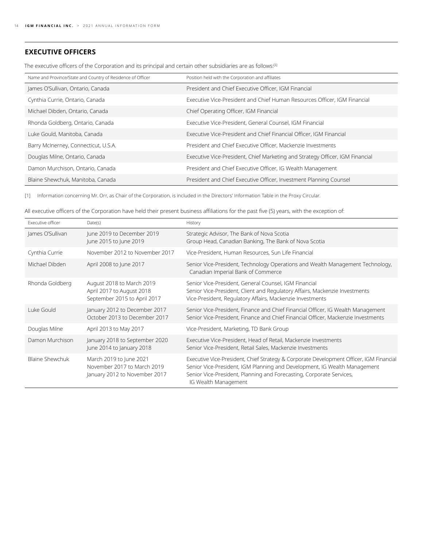## <span id="page-13-0"></span>**EXECUTIVE OFFICERS**

The executive officers of the Corporation and its principal and certain other subsidiaries are as follows:<sup>[1]</sup>

| Name and Province/State and Country of Residence of Officer | Position held with the Corporation and affiliates                             |
|-------------------------------------------------------------|-------------------------------------------------------------------------------|
| James O'Sullivan, Ontario, Canada                           | President and Chief Executive Officer, IGM Financial                          |
| Cynthia Currie, Ontario, Canada                             | Executive Vice-President and Chief Human Resources Officer, IGM Financial     |
| Michael Dibden, Ontario, Canada                             | Chief Operating Officer, IGM Financial                                        |
| Rhonda Goldberg, Ontario, Canada                            | Executive Vice-President, General Counsel, IGM Financial                      |
| Luke Gould, Manitoba, Canada                                | Executive Vice-President and Chief Financial Officer, IGM Financial           |
| Barry McInerney, Connecticut, U.S.A.                        | President and Chief Executive Officer, Mackenzie Investments                  |
| Douglas Milne, Ontario, Canada                              | Executive Vice-President, Chief Marketing and Strategy Officer, IGM Financial |
| Damon Murchison, Ontario, Canada                            | President and Chief Executive Officer, IG Wealth Management                   |
| Blaine Shewchuk, Manitoba, Canada                           | President and Chief Executive Officer, Investment Planning Counsel            |

[1] Information concerning Mr. Orr, as Chair of the Corporation, is included in the Directors' Information Table in the Proxy Circular.

All executive officers of the Corporation have held their present business affiliations for the past five (5) years, with the exception of:

| Executive officer      | Date(s)                                                                                 | History                                                                                                                                                                                                                                                              |
|------------------------|-----------------------------------------------------------------------------------------|----------------------------------------------------------------------------------------------------------------------------------------------------------------------------------------------------------------------------------------------------------------------|
| James O'Sullivan       | June 2019 to December 2019<br>June 2015 to June 2019                                    | Strategic Advisor, The Bank of Nova Scotia<br>Group Head, Canadian Banking, The Bank of Nova Scotia                                                                                                                                                                  |
| Cynthia Currie         | November 2012 to November 2017                                                          | Vice-President, Human Resources, Sun Life Financial                                                                                                                                                                                                                  |
| Michael Dibden         | April 2008 to June 2017                                                                 | Senior Vice-President, Technology Operations and Wealth Management Technology,<br>Canadian Imperial Bank of Commerce                                                                                                                                                 |
| Rhonda Goldberg        | August 2018 to March 2019<br>April 2017 to August 2018<br>September 2015 to April 2017  | Senior Vice-President, General Counsel, IGM Financial<br>Senior Vice-President, Client and Regulatory Affairs, Mackenzie Investments<br>Vice-President, Regulatory Affairs, Mackenzie Investments                                                                    |
| Luke Gould             | January 2012 to December 2017<br>October 2013 to December 2017                          | Senior Vice-President, Finance and Chief Financial Officer, IG Wealth Management<br>Senior Vice-President, Finance and Chief Financial Officer, Mackenzie Investments                                                                                                |
| Douglas Milne          | April 2013 to May 2017                                                                  | Vice-President, Marketing, TD Bank Group                                                                                                                                                                                                                             |
| Damon Murchison        | January 2018 to September 2020<br>June 2014 to January 2018                             | Executive Vice-President, Head of Retail, Mackenzie Investments<br>Senior Vice-President, Retail Sales, Mackenzie Investments                                                                                                                                        |
| <b>Blaine Shewchuk</b> | March 2019 to June 2021<br>November 2017 to March 2019<br>January 2012 to November 2017 | Executive Vice-President, Chief Strategy & Corporate Development Officer, IGM Financial<br>Senior Vice-President, IGM Planning and Development, IG Wealth Management<br>Senior Vice-President, Planning and Forecasting, Corporate Services,<br>IG Wealth Management |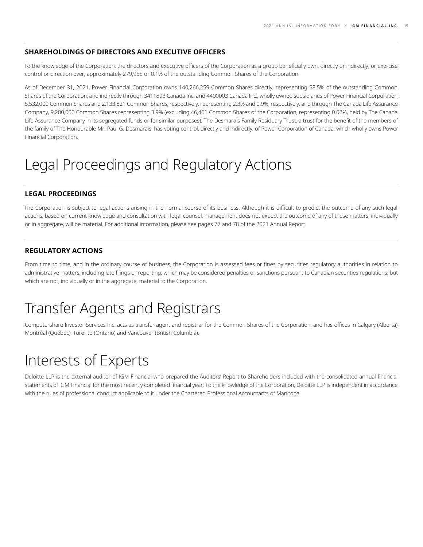## <span id="page-14-0"></span>**SHAREHOLDINGS OF DIRECTORS AND EXECUTIVE OFFICERS**

To the knowledge of the Corporation, the directors and executive officers of the Corporation as a group beneficially own, directly or indirectly, or exercise control or direction over, approximately 279,955 or 0.1% of the outstanding Common Shares of the Corporation.

As of December 31, 2021, Power Financial Corporation owns 140,266,259 Common Shares directly, representing 58.5% of the outstanding Common Shares of the Corporation, and indirectly through 3411893 Canada Inc. and 4400003 Canada Inc., wholly owned subsidiaries of Power Financial Corporation, 5,532,000 Common Shares and 2,133,821 Common Shares, respectively, representing 2.3% and 0.9%, respectively, and through The Canada Life Assurance Company, 9,200,000 Common Shares representing 3.9% (excluding 46,461 Common Shares of the Corporation, representing 0.02%, held by The Canada Life Assurance Company in its segregated funds or for similar purposes). The Desmarais Family Residuary Trust, a trust for the benefit of the members of the family of The Honourable Mr. Paul G. Desmarais, has voting control, directly and indirectly, of Power Corporation of Canada, which wholly owns Power Financial Corporation.

## Legal Proceedings and Regulatory Actions

## **LEGAL PROCEEDINGS**

The Corporation is subject to legal actions arising in the normal course of its business. Although it is difficult to predict the outcome of any such legal actions, based on current knowledge and consultation with legal counsel, management does not expect the outcome of any of these matters, individually or in aggregate, will be material. For additional information, please see pages 77 and 78 of the 2021 Annual Report.

## **REGULATORY ACTIONS**

From time to time, and in the ordinary course of business, the Corporation is assessed fees or fines by securities regulatory authorities in relation to administrative matters, including late filings or reporting, which may be considered penalties or sanctions pursuant to Canadian securities regulations, but which are not, individually or in the aggregate, material to the Corporation.

## Transfer Agents and Registrars

Computershare Investor Services Inc. acts as transfer agent and registrar for the Common Shares of the Corporation, and has offices in Calgary (Alberta), Montréal (Québec), Toronto (Ontario) and Vancouver (British Columbia).

## Interests of Experts

Deloitte LLP is the external auditor of IGM Financial who prepared the Auditors' Report to Shareholders included with the consolidated annual financial statements of IGM Financial for the most recently completed financial year. To the knowledge of the Corporation, Deloitte LLP is independent in accordance with the rules of professional conduct applicable to it under the Chartered Professional Accountants of Manitoba.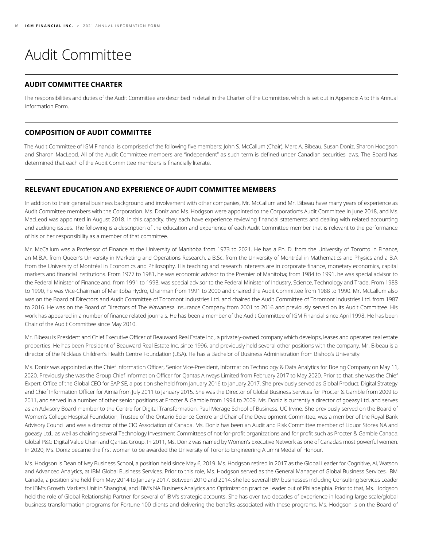# <span id="page-15-0"></span>Audit Committee

## **AUDIT COMMITTEE CHARTER**

The responsibilities and duties of the Audit Committee are described in detail in the Charter of the Committee, which is set out in Appendix A to this Annual Information Form.

## **COMPOSITION OF AUDIT COMMITTEE**

The Audit Committee of IGM Financial is comprised of the following five members: John S. McCallum (Chair), Marc A. Bibeau, Susan Doniz, Sharon Hodgson and Sharon MacLeod. All of the Audit Committee members are "independent" as such term is defined under Canadian securities laws. The Board has determined that each of the Audit Committee members is financially literate.

## **RELEVANT EDUCATION AND EXPERIENCE OF AUDIT COMMITTEE MEMBERS**

In addition to their general business background and involvement with other companies, Mr. McCallum and Mr. Bibeau have many years of experience as Audit Committee members with the Corporation. Ms. Doniz and Ms. Hodgson were appointed to the Corporation's Audit Committee in June 2018, and Ms. MacLeod was appointed in August 2018. In this capacity, they each have experience reviewing financial statements and dealing with related accounting and auditing issues. The following is a description of the education and experience of each Audit Committee member that is relevant to the performance of his or her responsibility as a member of that committee.

Mr. McCallum was a Professor of Finance at the University of Manitoba from 1973 to 2021. He has a Ph. D. from the University of Toronto in Finance, an M.B.A. from Queen's University in Marketing and Operations Research, a B.Sc. from the University of Montréal in Mathematics and Physics and a B.A. from the University of Montréal in Economics and Philosophy. His teaching and research interests are in corporate finance, monetary economics, capital markets and financial institutions. From 1977 to 1981, he was economic advisor to the Premier of Manitoba; from 1984 to 1991, he was special advisor to the Federal Minister of Finance and, from 1991 to 1993, was special advisor to the Federal Minister of Industry, Science, Technology and Trade. From 1988 to 1990, he was Vice-Chairman of Manitoba Hydro, Chairman from 1991 to 2000 and chaired the Audit Committee from 1988 to 1990. Mr. McCallum also was on the Board of Directors and Audit Committee of Toromont Industries Ltd. and chaired the Audit Committee of Toromont Industries Ltd. from 1987 to 2016. He was on the Board of Directors of The Wawanesa Insurance Company from 2001 to 2016 and previously served on its Audit Committee. His work has appeared in a number of finance related journals. He has been a member of the Audit Committee of IGM Financial since April 1998. He has been Chair of the Audit Committee since May 2010.

Mr. Bibeau is President and Chief Executive Officer of Beauward Real Estate Inc., a privately-owned company which develops, leases and operates real estate properties. He has been President of Beauward Real Estate Inc. since 1996, and previously held several other positions with the company. Mr. Bibeau is a director of the Nicklaus Children's Health Centre Foundation (USA). He has a Bachelor of Business Administration from Bishop's University.

Ms. Doniz was appointed as the Chief Information Officer, Senior Vice-President, Information Technology & Data Analytics for Boeing Company on May 11, 2020. Previously she was the Group Chief Information Officer for Qantas Airways Limited from February 2017 to May 2020. Prior to that, she was the Chief Expert, Office of the Global CEO for SAP SE, a position she held from January 2016 to January 2017. She previously served as Global Product, Digital Strategy and Chief Information Officer for Aimia from July 2011 to January 2015. She was the Director of Global Business Services for Procter & Gamble from 2009 to 2011, and served in a number of other senior positions at Procter & Gamble from 1994 to 2009. Ms. Doniz is currently a director of goeasy Ltd. and serves as an Advisory Board member to the Centre for Digital Transformation, Paul Merage School of Business, UC Irvine. She previously served on the Board of Women's College Hospital Foundation, Trustee of the Ontario Science Centre and Chair of the Development Committee, was a member of the Royal Bank Advisory Council and was a director of the CIO Association of Canada. Ms. Doniz has been an Audit and Risk Committee member of Liquor Stores NA and goeasy Ltd., as well as chairing several Technology Investment Committees of not-for-profit organizations and for profit such as Procter & Gamble Canada, Global P&G Digital Value Chain and Qantas Group. In 2011, Ms. Doniz was named by Women's Executive Network as one of Canada's most powerful women. In 2020, Ms. Doniz became the first woman to be awarded the University of Toronto Engineering Alumni Medal of Honour.

Ms. Hodgson is Dean of Ivey Business School, a position held since May 6, 2019. Ms. Hodgson retired in 2017 as the Global Leader for Cognitive, AI, Watson and Advanced Analytics, at IBM Global Business Services. Prior to this role, Ms. Hodgson served as the General Manager of Global Business Services, IBM Canada, a position she held from May 2014 to January 2017. Between 2010 and 2014, she led several IBM businesses including Consulting Services Leader for IBM's Growth Markets Unit in Shanghai, and IBM's NA Business Analytics and Optimization practice Leader out of Philadelphia. Prior to that, Ms. Hodgson held the role of Global Relationship Partner for several of IBM's strategic accounts. She has over two decades of experience in leading large scale/global business transformation programs for Fortune 100 clients and delivering the benefits associated with these programs. Ms. Hodgson is on the Board of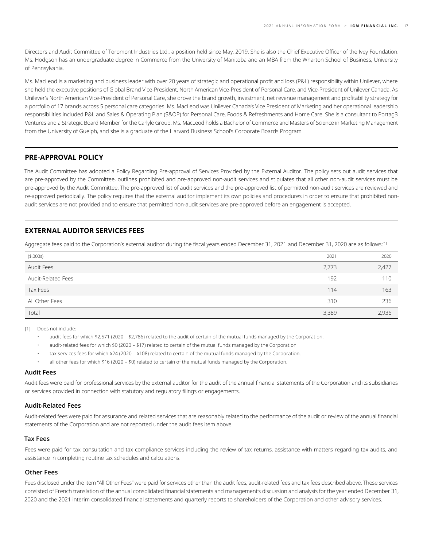<span id="page-16-0"></span>Directors and Audit Committee of Toromont Industries Ltd., a position held since May, 2019. She is also the Chief Executive Officer of the Ivey Foundation. Ms. Hodgson has an undergraduate degree in Commerce from the University of Manitoba and an MBA from the Wharton School of Business, University of Pennsylvania.

Ms. MacLeod is a marketing and business leader with over 20 years of strategic and operational profit and loss (P&L) responsibility within Unilever, where she held the executive positions of Global Brand Vice-President, North American Vice-President of Personal Care, and Vice-President of Unilever Canada. As Unilever's North American Vice-President of Personal Care, she drove the brand growth, investment, net revenue management and profitability strategy for a portfolio of 17 brands across 5 personal care categories. Ms. MacLeod was Unilever Canada's Vice President of Marketing and her operational leadership responsibilities included P&L and Sales & Operating Plan (S&OP) for Personal Care, Foods & Refreshments and Home Care. She is a consultant to Portag3 Ventures and a Strategic Board Member for the Carlyle Group. Ms. MacLeod holds a Bachelor of Commerce and Masters of Science in Marketing Management from the University of Guelph, and she is a graduate of the Harvard Business School's Corporate Boards Program.

## **PRE-APPROVAL POLICY**

The Audit Committee has adopted a Policy Regarding Pre-approval of Services Provided by the External Auditor. The policy sets out audit services that are pre-approved by the Committee, outlines prohibited and pre-approved non-audit services and stipulates that all other non-audit services must be pre-approved by the Audit Committee. The pre-approved list of audit services and the pre-approved list of permitted non-audit services are reviewed and re-approved periodically. The policy requires that the external auditor implement its own policies and procedures in order to ensure that prohibited nonaudit services are not provided and to ensure that permitted non-audit services are pre-approved before an engagement is accepted.

## **EXTERNAL AUDITOR SERVICES FEES**

Aggregate fees paid to the Corporation's external auditor during the fiscal years ended December 31, 2021 and December 31, 2020 are as follows:[1]

| (\$,000s)          | 2021  | 2020  |
|--------------------|-------|-------|
| Audit Fees         | 2,773 | 2,427 |
| Audit-Related Fees | 192   | 110   |
| Tax Fees           | 114   | 163   |
| All Other Fees     | 310   | 236   |
| Total              | 3,389 | 2.936 |

[1] Does not include:

- audit fees for which \$2,571 (2020 \$2,786) related to the audit of certain of the mutual funds managed by the Corporation.
- audit-related fees for which \$0 (2020 \$17) related to certain of the mutual funds managed by the Corporation
- tax services fees for which \$24 (2020 \$108) related to certain of the mutual funds managed by the Corporation.
- all other fees for which \$16 (2020 \$0) related to certain of the mutual funds managed by the Corporation.

#### **Audit Fees**

Audit fees were paid for professional services by the external auditor for the audit of the annual financial statements of the Corporation and its subsidiaries or services provided in connection with statutory and regulatory filings or engagements.

#### **Audit-Related Fees**

Audit-related fees were paid for assurance and related services that are reasonably related to the performance of the audit or review of the annual financial statements of the Corporation and are not reported under the audit fees item above.

#### **Tax Fees**

Fees were paid for tax consultation and tax compliance services including the review of tax returns, assistance with matters regarding tax audits, and assistance in completing routine tax schedules and calculations.

#### **Other Fees**

Fees disclosed under the item "All Other Fees" were paid for services other than the audit fees, audit-related fees and tax fees described above. These services consisted of French translation of the annual consolidated financial statements and management's discussion and analysis for the year ended December 31, 2020 and the 2021 interim consolidated financial statements and quarterly reports to shareholders of the Corporation and other advisory services.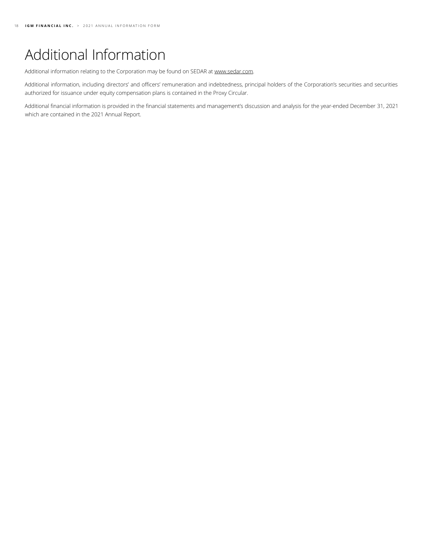# <span id="page-17-0"></span>Additional Information

Additional information relating to the Corporation may be found on SEDAR at [www.sedar.com](http://www.sedar.com).

Additional information, including directors' and officers' remuneration and indebtedness, principal holders of the Corporation's securities and securities authorized for issuance under equity compensation plans is contained in the Proxy Circular.

Additional financial information is provided in the financial statements and management's discussion and analysis for the year-ended December 31, 2021 which are contained in the 2021 Annual Report.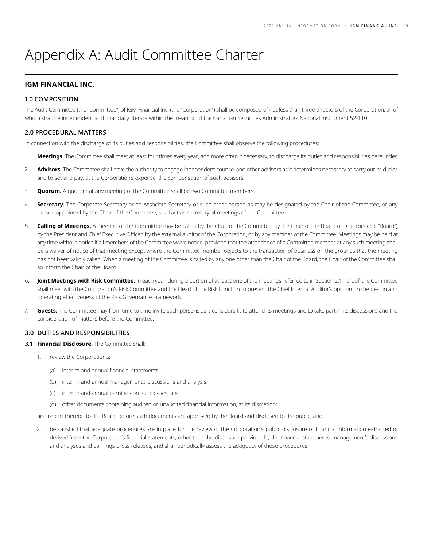## <span id="page-18-0"></span>Appendix A: Audit Committee Charter

## **IGM FINANCIAL INC.**

#### **1.0 COMPOSITION**

The Audit Committee (the "Committee") of IGM Financial Inc. (the "Corporation") shall be composed of not less than three directors of the Corporation, all of whom shall be independent and financially literate within the meaning of the Canadian Securities Administrators National Instrument 52-110.

#### **2.0 PROCEDURAL MATTERS**

In connection with the discharge of its duties and responsibilities, the Committee shall observe the following procedures:

- 1. **Meetings.** The Committee shall meet at least four times every year, and more often if necessary, to discharge its duties and responsibilities hereunder.
- 2. **Advisors.** The Committee shall have the authority to engage independent counsel and other advisors as it determines necessary to carry out its duties and to set and pay, at the Corporation's expense, the compensation of such advisors.
- 3. **Quorum.** A quorum at any meeting of the Committee shall be two Committee members.
- 4. **Secretary.** The Corporate Secretary or an Associate Secretary or such other person as may be designated by the Chair of the Committee, or any person appointed by the Chair of the Committee, shall act as secretary of meetings of the Committee.
- 5. **Calling of Meetings.** A meeting of the Committee may be called by the Chair of the Committee, by the Chair of the Board of Directors (the "Board"), by the President and Chief Executive Officer, by the external auditor of the Corporation, or by any member of the Committee. Meetings may be held at any time without notice if all members of the Committee waive notice, provided that the attendance of a Committee member at any such meeting shall be a waiver of notice of that meeting except where the Committee member objects to the transaction of business on the grounds that the meeting has not been validly called. When a meeting of the Committee is called by any one other than the Chair of the Board, the Chair of the Committee shall so inform the Chair of the Board.
- 6. **Joint Meetings with Risk Committee.** In each year, during a portion of at least one of the meetings referred to in Section 2.1 hereof, the Committee shall meet with the Corporation's Risk Committee and the Head of the Risk Function to present the Chief Internal Auditor's opinion on the design and operating effectiveness of the Risk Governance Framework.
- 7. **Guests.** The Committee may from time to time invite such persons as it considers fit to attend its meetings and to take part in its discussions and the consideration of matters before the Committee.

### **3.0 DUTIES AND RESPONSIBILITIES**

- **3.1 Financial Disclosure.** The Committee shall:
	- 1. review the Corporation's:
		- (a) interim and annual financial statements;
		- (b) interim and annual management's discussions and analysis;
		- (c) interim and annual earnings press releases; and
		- (d) other documents containing audited or unaudited financial information, at its discretion;

and report thereon to the Board before such documents are approved by the Board and disclosed to the public; and

2. be satisfied that adequate procedures are in place for the review of the Corporation's public disclosure of financial information extracted or derived from the Corporation's financial statements, other than the disclosure provided by the financial statements, management's discussions and analyses and earnings press releases, and shall periodically assess the adequacy of those procedures.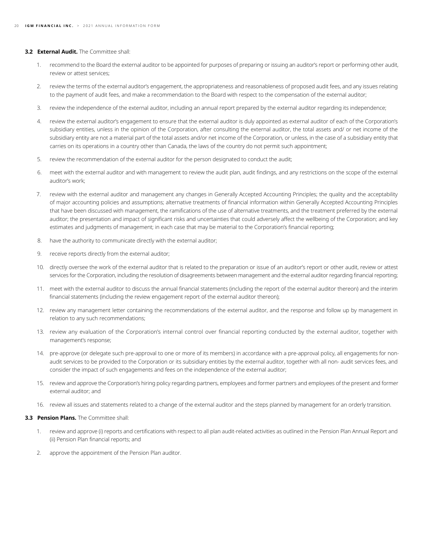#### **3.2 External Audit.** The Committee shall:

- 1. recommend to the Board the external auditor to be appointed for purposes of preparing or issuing an auditor's report or performing other audit, review or attest services;
- 2. review the terms of the external auditor's engagement, the appropriateness and reasonableness of proposed audit fees, and any issues relating to the payment of audit fees, and make a recommendation to the Board with respect to the compensation of the external auditor;
- 3. review the independence of the external auditor, including an annual report prepared by the external auditor regarding its independence;
- 4. review the external auditor's engagement to ensure that the external auditor is duly appointed as external auditor of each of the Corporation's subsidiary entities, unless in the opinion of the Corporation, after consulting the external auditor, the total assets and/ or net income of the subsidiary entity are not a material part of the total assets and/or net income of the Corporation, or unless, in the case of a subsidiary entity that carries on its operations in a country other than Canada, the laws of the country do not permit such appointment;
- 5. review the recommendation of the external auditor for the person designated to conduct the audit;
- 6. meet with the external auditor and with management to review the audit plan, audit findings, and any restrictions on the scope of the external auditor's work;
- 7. review with the external auditor and management any changes in Generally Accepted Accounting Principles; the quality and the acceptability of major accounting policies and assumptions; alternative treatments of financial information within Generally Accepted Accounting Principles that have been discussed with management, the ramifications of the use of alternative treatments, and the treatment preferred by the external auditor; the presentation and impact of significant risks and uncertainties that could adversely affect the wellbeing of the Corporation; and key estimates and judgments of management; in each case that may be material to the Corporation's financial reporting;
- 8. have the authority to communicate directly with the external auditor;
- 9. receive reports directly from the external auditor;
- 10. directly oversee the work of the external auditor that is related to the preparation or issue of an auditor's report or other audit, review or attest services for the Corporation, including the resolution of disagreements between management and the external auditor regarding financial reporting;
- 11. meet with the external auditor to discuss the annual financial statements (including the report of the external auditor thereon) and the interim financial statements (including the review engagement report of the external auditor thereon);
- 12. review any management letter containing the recommendations of the external auditor, and the response and follow up by management in relation to any such recommendations;
- 13. review any evaluation of the Corporation's internal control over financial reporting conducted by the external auditor, together with management's response;
- 14. pre-approve (or delegate such pre-approval to one or more of its members) in accordance with a pre-approval policy, all engagements for nonaudit services to be provided to the Corporation or its subsidiary entities by the external auditor, together with all non- audit services fees, and consider the impact of such engagements and fees on the independence of the external auditor;
- 15. review and approve the Corporation's hiring policy regarding partners, employees and former partners and employees of the present and former external auditor; and
- 16. review all issues and statements related to a change of the external auditor and the steps planned by management for an orderly transition.

#### **3.3 Pension Plans.** The Committee shall:

- 1. review and approve (i) reports and certifications with respect to all plan audit-related activities as outlined in the Pension Plan Annual Report and (ii) Pension Plan financial reports; and
- 2. approve the appointment of the Pension Plan auditor.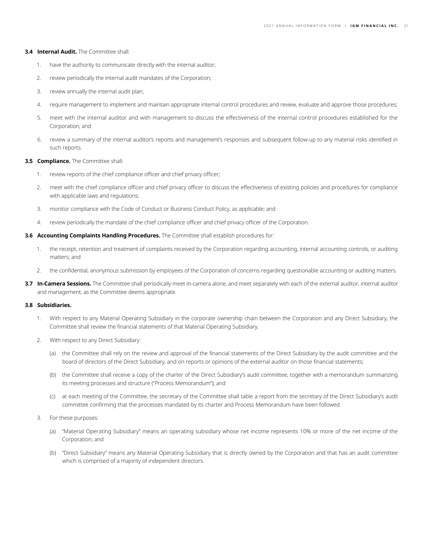#### **3.4 Internal Audit.** The Committee shall:

- 1. have the authority to communicate directly with the internal auditor;
- 2. review periodically the internal audit mandates of the Corporation;
- 3. review annually the internal audit plan;
- 4. require management to implement and maintain appropriate internal control procedures and review, evaluate and approve those procedures;
- 5. meet with the internal auditor and with management to discuss the effectiveness of the internal control procedures established for the Corporation; and
- 6. review a summary of the internal auditor's reports and management's responses and subsequent follow-up to any material risks identified in such reports.

#### **3.5 Compliance.** The Committee shall:

- 1. review reports of the chief compliance officer and chief privacy officer;
- 2. meet with the chief compliance officer and chief privacy officer to discuss the effectiveness of existing policies and procedures for compliance with applicable laws and regulations;
- 3. monitor compliance with the Code of Conduct or Business Conduct Policy, as applicable; and
- 4. review periodically the mandate of the chief compliance officer and chief privacy officer of the Corporation.

#### **3.6 Accounting Complaints Handling Procedures.** The Committee shall establish procedures for:

- 1. the receipt, retention and treatment of complaints received by the Corporation regarding accounting, internal accounting controls, or auditing matters; and
- 2. the confidential, anonymous submission by employees of the Corporation of concerns regarding questionable accounting or auditing matters.
- **3.7 In-Camera Sessions.** The Committee shall periodically meet in-camera alone, and meet separately with each of the external auditor, internal auditor and management, as the Committee deems appropriate.

#### **3.8 Subsidiaries.**

- 1. With respect to any Material Operating Subsidiary in the corporate ownership chain between the Corporation and any Direct Subsidiary, the Committee shall review the financial statements of that Material Operating Subsidiary.
- 2. With respect to any Direct Subsidiary:
	- (a) the Committee shall rely on the review and approval of the financial statements of the Direct Subsidiary by the audit committee and the board of directors of the Direct Subsidiary, and on reports or opinions of the external auditor on those financial statements;
	- (b) the Committee shall receive a copy of the charter of the Direct Subsidiary's audit committee, together with a memorandum summarizing its meeting processes and structure ("Process Memorandum"); and
	- (c) at each meeting of the Committee, the secretary of the Committee shall table a report from the secretary of the Direct Subsidiary's audit committee confirming that the processes mandated by its charter and Process Memorandum have been followed.
- 3. For these purposes:
	- (a) "Material Operating Subsidiary" means an operating subsidiary whose net income represents 10% or more of the net income of the Corporation; and
	- (b) "Direct Subsidiary" means any Material Operating Subsidiary that is directly owned by the Corporation and that has an audit committee which is comprised of a majority of independent directors.